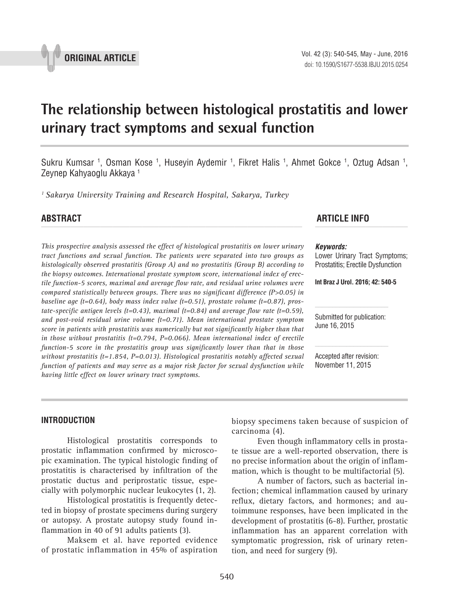

# **The relationship between histological prostatitis and lower urinary tract symptoms and sexual function \_\_\_\_\_\_\_\_\_\_\_\_\_\_\_\_\_\_\_\_\_\_\_\_\_\_\_\_\_\_\_\_\_\_\_\_\_\_\_\_\_\_\_\_\_\_\_**

Sukru Kumsar <sup>1</sup>, Osman Kose <sup>1</sup>, Huseyin Aydemir <sup>1</sup>, Fikret Halis <sup>1</sup>, Ahmet Gokce <sup>1</sup>, Oztug Adsan <sup>1</sup>, Zeynep Kahyaoglu Akkaya<sup>1</sup>

*1 Sakarya University Training and Research Hospital, Sakarya, Turkey*

*This prospective analysis assessed the effect of histological prostatitis on lower urinary tract functions and sexual function. The patients were separated into two groups as histologically observed prostatitis (Group A) and no prostatitis (Group B) according to the biopsy outcomes. International prostate symptom score, international index of erectile function-5 scores, maximal and average flow rate, and residual urine volumes were compared statistically between groups. There was no significant difference (P>0.05) in baseline age (t=0.64), body mass index value (t=0.51), prostate volume (t=0.87), prostate-specific antigen levels (t=0.43), maximal (t=0.84) and average flow rate (t=0.59), and post-void residual urine volume (t=0.71). Mean international prostate symptom score in patients with prostatitis was numerically but not significantly higher than that in those without prostatitis (t=0.794, P=0.066). Mean international index of erectile function-5 score in the prostatitis group was significantly lower than that in those without prostatitis (t=1.854, P=0.013). Histological prostatitis notably affected sexual function of patients and may serve as a major risk factor for sexual dysfunction while having little effect on lower urinary tract symptoms.*

## **ABSTRACT ARTICLE INFO** *\_\_\_\_\_\_\_\_\_\_\_\_\_\_\_\_\_\_\_\_\_\_\_\_\_\_\_\_\_\_\_\_\_\_\_\_\_\_\_\_\_\_\_\_\_\_\_\_\_\_\_\_\_\_\_\_\_\_\_\_\_\_ \_\_\_\_\_\_\_\_\_\_\_\_\_\_\_\_\_\_\_\_\_\_*

#### *Keywords:*

Lower Urinary Tract Symptoms; Prostatitis; Erectile Dysfunction

**Int Braz J Urol. 2016; 42: 540-5**

Submitted for publication: June 16, 2015

Accepted after revision: November 11, 2015

#### **INTRODUCTION**

Histological prostatitis corresponds to prostatic inflammation confirmed by microscopic examination. The typical histologic finding of prostatitis is characterised by infiltration of the prostatic ductus and periprostatic tissue, especially with polymorphic nuclear leukocytes (1, 2).

Histological prostatitis is frequently detected in biopsy of prostate specimens during surgery or autopsy. A prostate autopsy study found inflammation in 40 of 91 adults patients (3).

Maksem et al. have reported evidence of prostatic inflammation in 45% of aspiration

biopsy specimens taken because of suspicion of carcinoma (4).

Even though inflammatory cells in prostate tissue are a well-reported observation, there is no precise information about the origin of inflammation, which is thought to be multifactorial (5).

A number of factors, such as bacterial infection; chemical inflammation caused by urinary reflux, dietary factors, and hormones; and autoimmune responses, have been implicated in the development of prostatitis (6-8). Further, prostatic inflammation has an apparent correlation with symptomatic progression, risk of urinary retention, and need for surgery (9).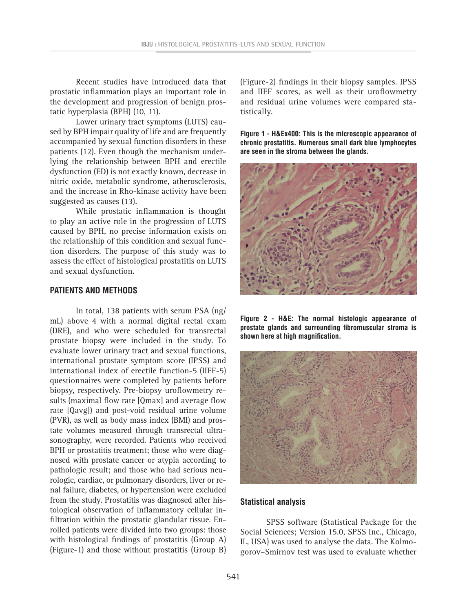Recent studies have introduced data that prostatic inflammation plays an important role in the development and progression of benign prostatic hyperplasia (BPH) (10, 11).

Lower urinary tract symptoms (LUTS) caused by BPH impair quality of life and are frequently accompanied by sexual function disorders in these patients (12). Even though the mechanism underlying the relationship between BPH and erectile dysfunction (ED) is not exactly known, decrease in nitric oxide, metabolic syndrome, atherosclerosis, and the increase in Rho-kinase activity have been suggested as causes (13).

While prostatic inflammation is thought to play an active role in the progression of LUTS caused by BPH, no precise information exists on the relationship of this condition and sexual function disorders. The purpose of this study was to assess the effect of histological prostatitis on LUTS and sexual dysfunction.

#### **PATIENTS AND METHODS**

In total, 138 patients with serum PSA (ng/ mL) above 4 with a normal digital rectal exam (DRE), and who were scheduled for transrectal prostate biopsy were included in the study. To evaluate lower urinary tract and sexual functions, international prostate symptom score (IPSS) and international index of erectile function-5 (IIEF-5) questionnaires were completed by patients before biopsy, respectively. Pre-biopsy uroflowmetry results (maximal flow rate [Qmax] and average flow rate [Qavg]) and post-void residual urine volume (PVR), as well as body mass index (BMI) and prostate volumes measured through transrectal ultrasonography, were recorded. Patients who received BPH or prostatitis treatment; those who were diagnosed with prostate cancer or atypia according to pathologic result; and those who had serious neurologic, cardiac, or pulmonary disorders, liver or renal failure, diabetes, or hypertension were excluded from the study. Prostatitis was diagnosed after histological observation of inflammatory cellular infiltration within the prostatic glandular tissue. Enrolled patients were divided into two groups: those with histological findings of prostatitis (Group A) (Figure-1) and those without prostatitis (Group B)

(Figure-2) findings in their biopsy samples. IPSS and IIEF scores, as well as their uroflowmetry and residual urine volumes were compared statistically.

**Figure 1 - H&Ex400: This is the microscopic appearance of chronic prostatitis. Numerous small dark blue lymphocytes are seen in the stroma between the glands.**



**Figure 2 - H&E: The normal histologic appearance of prostate glands and surrounding fibromuscular stroma is shown here at high magnification.**



#### **Statistical analysis**

SPSS software (Statistical Package for the Social Sciences; Version 15.0, SPSS Inc., Chicago, IL, USA) was used to analyse the data. The Kolmogorov–Smirnov test was used to evaluate whether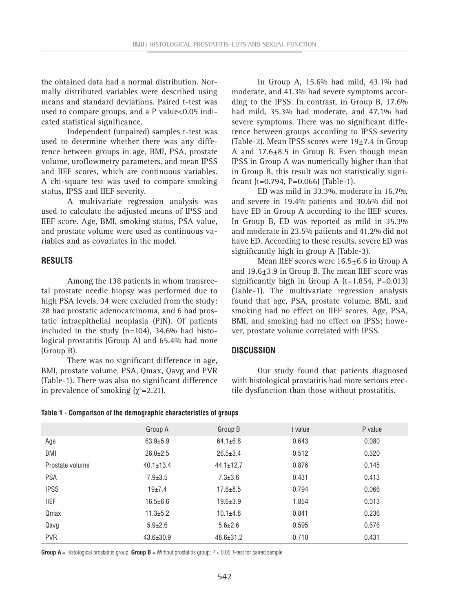the obtained data had a normal distribution. Normally distributed variables were described using means and standard deviations. Paired t-test was used to compare groups, and a P value<0.05 indicated statistical significance.

Independent (unpaired) samples t-test was used to determine whether there was any difference between groups in age, BMI, PSA, prostate volume, uroflowmetry parameters, and mean IPSS and IIEF scores, which are continuous variables. A chi-square test was used to compare smoking status, IPSS and IIEF severity.

A multivariate regression analysis was used to calculate the adjusted means of IPSS and IIEF score. Age, BMI, smoking status, PSA value, and prostate volume were used as continuous variables and as covariates in the model.

#### **RESULTS**

Among the 138 patients in whom transrectal prostate needle biopsy was performed due to high PSA levels, 34 were excluded from the study: 28 had prostatic adenocarcinoma, and 6 had prostatic intraepithelial neoplasia (PIN). Of patients included in the study  $(n=104)$ , 34.6% had histological prostatitis (Group A) and 65.4% had none (Group B).

There was no significant difference in age, BMI, prostate volume, PSA, Qmax, Qavg and PVR (Table-1). There was also no significant difference in prevalence of smoking  $(\chi^2=2.21)$ .

In Group A, 15.6% had mild, 43.1% had moderate, and 41.3% had severe symptoms according to the IPSS. In contrast, in Group B, 17.6% had mild, 35.3% had moderate, and 47.1% had severe symptoms. There was no significant difference between groups according to IPSS severity (Table-2). Mean IPSS scores were  $19\pm7.4$  in Group A and  $17.6 \pm 8.5$  in Group B. Even though mean IPSS in Group A was numerically higher than that in Group B, this result was not statistically significant (t=0.794, P=0.066) (Table-1).

ED was mild in 33.3%, moderate in 16.7%, and severe in 19.4% patients and 30.6% did not have ED in Group A according to the IIEF scores. In Group B, ED was reported as mild in 35.3% and moderate in 23.5% patients and 41.2% did not have ED. According to these results, severe ED was significantly high in group A (Table-3).

Mean IIEF scores were  $16.5 \pm 6.6$  in Group A and 19.6±3.9 in Group B. The mean IIEF score was significantly high in Group A  $(t=1.854, P=0.013)$ (Table-1). The multivariate regression analysis found that age, PSA, prostate volume, BMI, and smoking had no effect on IIEF scores. Age, PSA, BMI, and smoking had no effect on IPSS; however, prostate volume correlated with IPSS.

## **DISCUSSION**

Our study found that patients diagnosed with histological prostatitis had more serious erectile dysfunction than those without prostatitis.

|  |  |  | Table 1 - Comparison of the demographic characteristics of groups |
|--|--|--|-------------------------------------------------------------------|
|--|--|--|-------------------------------------------------------------------|

|                 | Group A         | Group B         | t value | P value |
|-----------------|-----------------|-----------------|---------|---------|
| Age             | $63.9 \pm 5.9$  | $64.1 \pm 6.8$  | 0.643   | 0.080   |
| BMI             | $26.0 \pm 2.5$  | $26.5 \pm 3.4$  | 0.512   | 0.320   |
| Prostate volume | $40.1 \pm 13.4$ | $44.1 \pm 12.7$ | 0.876   | 0.145   |
| <b>PSA</b>      | $7.9 \pm 3.5$   | $7.3 \pm 3.6$   | 0.431   | 0.413   |
| <b>IPSS</b>     | $19+7.4$        | $17.6 \pm 8.5$  | 0.794   | 0.066   |
| <b>IIEF</b>     | $16.5 \pm 6.6$  | $19.6 \pm 3.9$  | 1.854   | 0.013   |
| Qmax            | $11.3 + 5.2$    | $10.1 + 4.8$    | 0.841   | 0.236   |
| Qavg            | $5.9 \pm 2.6$   | $5.6 \pm 2.6$   | 0.595   | 0.676   |
| <b>PVR</b>      | $43.6 \pm 30.9$ | $48.6 \pm 31.2$ | 0.710   | 0.431   |

**Group A** = Histological prostatitis group; **Group B** = Without prostatitis group; P < 0.05; t-test for paired sample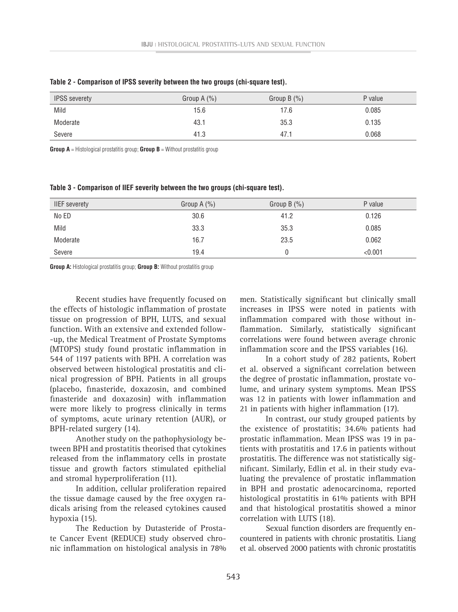| <b>IPSS</b> severety | Group $A(\%)$ | Group B $(\%)$ | P value |
|----------------------|---------------|----------------|---------|
| Mild                 | 15.6          | 17.6           | 0.085   |
| Moderate             | 43.1          | 35.3           | 0.135   |
| Severe               | 41.3          | 47.1           | 0.068   |

**Table 2 - Comparison of IPSS severity between the two groups (chi-square test).**

**Group A** = Histological prostatitis group; **Group B** = Without prostatitis group

**Table 3 - Comparison of IIEF severity between the two groups (chi-square test).**

| <b>IIEF</b> severety | Group $A(\%)$ | Group B $(\%)$ | P value |
|----------------------|---------------|----------------|---------|
| No ED                | 30.6          | 41.2           | 0.126   |
| Mild                 | 33.3          | 35.3           | 0.085   |
| Moderate             | 16.7          | 23.5           | 0.062   |
| Severe               | 19.4          |                | < 0.001 |

**Group A:** Histological prostatitis group; **Group B:** Without prostatitis group

Recent studies have frequently focused on the effects of histologic inflammation of prostate tissue on progression of BPH, LUTS, and sexual function. With an extensive and extended follow- -up, the Medical Treatment of Prostate Symptoms (MTOPS) study found prostatic inflammation in 544 of 1197 patients with BPH. A correlation was observed between histological prostatitis and clinical progression of BPH. Patients in all groups (placebo, finasteride, doxazosin, and combined finasteride and doxazosin) with inflammation were more likely to progress clinically in terms of symptoms, acute urinary retention (AUR), or BPH-related surgery (14).

Another study on the pathophysiology between BPH and prostatitis theorised that cytokines released from the inflammatory cells in prostate tissue and growth factors stimulated epithelial and stromal hyperproliferation (11).

In addition, cellular proliferation repaired the tissue damage caused by the free oxygen radicals arising from the released cytokines caused hypoxia (15).

The Reduction by Dutasteride of Prostate Cancer Event (REDUCE) study observed chronic inflammation on histological analysis in 78% men. Statistically significant but clinically small increases in IPSS were noted in patients with inflammation compared with those without inflammation. Similarly, statistically significant correlations were found between average chronic inflammation score and the IPSS variables (16).

In a cohort study of 282 patients, Robert et al. observed a significant correlation between the degree of prostatic inflammation, prostate volume, and urinary system symptoms. Mean IPSS was 12 in patients with lower inflammation and 21 in patients with higher inflammation (17).

In contrast, our study grouped patients by the existence of prostatitis; 34.6% patients had prostatic inflammation. Mean IPSS was 19 in patients with prostatitis and 17.6 in patients without prostatitis. The difference was not statistically significant. Similarly, Edlin et al. in their study evaluating the prevalence of prostatic inflammation in BPH and prostatic adenocarcinoma, reported histological prostatitis in 61% patients with BPH and that histological prostatitis showed a minor correlation with LUTS (18).

Sexual function disorders are frequently encountered in patients with chronic prostatitis. Liang et al. observed 2000 patients with chronic prostatitis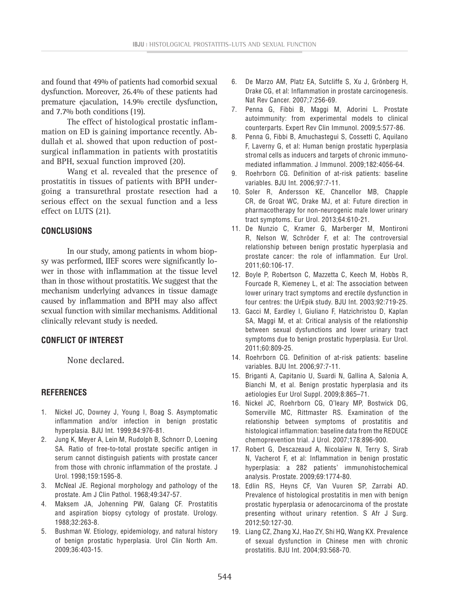and found that 49% of patients had comorbid sexual dysfunction. Moreover, 26.4% of these patients had premature ejaculation, 14.9% erectile dysfunction, and 7.7% both conditions (19).

The effect of histological prostatic inflammation on ED is gaining importance recently. Abdullah et al. showed that upon reduction of postsurgical inflammation in patients with prostatitis and BPH, sexual function improved (20).

Wang et al. revealed that the presence of prostatitis in tissues of patients with BPH undergoing a transurethral prostate resection had a serious effect on the sexual function and a less effect on LUTS (21).

### **CONCLUSIONS**

In our study, among patients in whom biopsy was performed, IIEF scores were significantly lower in those with inflammation at the tissue level than in those without prostatitis. We suggest that the mechanism underlying advances in tissue damage caused by inflammation and BPH may also affect sexual function with similar mechanisms. Additional clinically relevant study is needed.

### **CONFLICT OF INTEREST**

None declared.

#### **REFERENCES**

- 1. Nickel JC, Downey J, Young I, Boag S. Asymptomatic inflammation and/or infection in benign prostatic hyperplasia. BJU Int. 1999;84:976-81.
- 2. Jung K, Meyer A, Lein M, Rudolph B, Schnorr D, Loening SA. Ratio of free-to-total prostate specific antigen in serum cannot distinguish patients with prostate cancer from those with chronic inflammation of the prostate. J Urol. 1998;159:1595-8.
- 3. McNeal JE. Regional morphology and pathology of the prostate. Am J Clin Pathol. 1968;49:347-57.
- 4. Maksem JA, Johenning PW, Galang CF. Prostatitis and aspiration biopsy cytology of prostate. Urology. 1988;32:263-8.
- 5. Bushman W. Etiology, epidemiology, and natural history of benign prostatic hyperplasia. Urol Clin North Am. 2009;36:403-15.
- 6. De Marzo AM, Platz EA, Sutcliffe S, Xu J, Grönberg H, Drake CG, et al: Inflammation in prostate carcinogenesis. Nat Rev Cancer. 2007;7:256-69.
- 7. Penna G, Fibbi B, Maggi M, Adorini L. Prostate autoimmunity: from experimental models to clinical counterparts. Expert Rev Clin Immunol. 2009;5:577-86.
- 8. Penna G, Fibbi B, Amuchastegui S, Cossetti C, Aquilano F, Laverny G, et al: Human benign prostatic hyperplasia stromal cells as inducers and targets of chronic immunomediated inflammation. J Immunol. 2009;182:4056-64.
- 9. Roehrborn CG. Definition of at-risk patients: baseline variables. BJU Int. 2006;97:7-11.
- 10. Soler R, Andersson KE, Chancellor MB, Chapple CR, de Groat WC, Drake MJ, et al: Future direction in pharmacotherapy for non-neurogenic male lower urinary tract symptoms. Eur Urol. 2013;64:610-21.
- 11. De Nunzio C, Kramer G, Marberger M, Montironi R, Nelson W, Schröder F, et al: The controversial relationship between benign prostatic hyperplasia and prostate cancer: the role of inflammation. Eur Urol. 2011;60:106-17.
- 12. Boyle P, Robertson C, Mazzetta C, Keech M, Hobbs R, Fourcade R, Kiemeney L, et al: The association between lower urinary tract symptoms and erectile dysfunction in four centres: the UrEpik study. BJU Int. 2003;92:719-25.
- 13. Gacci M, Eardley I, Giuliano F, Hatzichristou D, Kaplan SA, Maggi M, et al: Critical analysis of the relationship between sexual dysfunctions and lower urinary tract symptoms due to benign prostatic hyperplasia. Eur Urol. 2011;60:809-25.
- 14. Roehrborn CG. Definition of at-risk patients: baseline variables. BJU Int. 2006;97:7-11.
- 15. Briganti A, Capitanio U, Suardi N, Gallina A, Salonia A, Bianchi M, et al. Benign prostatic hyperplasia and its aetiologies Eur Urol Suppl. 2009;8:865–71.
- 16. Nickel JC, Roehrborn CG, O'leary MP, Bostwick DG, Somerville MC, Rittmaster RS. Examination of the relationship between symptoms of prostatitis and histological inflammation: baseline data from the REDUCE chemoprevention trial. J Urol. 2007;178:896-900.
- 17. Robert G, Descazeaud A, Nicolaïew N, Terry S, Sirab N, Vacherot F, et al: Inflammation in benign prostatic hyperplasia: a 282 patients' immunohistochemical analysis. Prostate. 2009;69:1774-80.
- 18. Edlin RS, Heyns CF, Van Vuuren SP, Zarrabi AD. Prevalence of histological prostatitis in men with benign prostatic hyperplasia or adenocarcinoma of the prostate presenting without urinary retention. S Afr J Surg. 2012;50:127-30.
- 19. Liang CZ, Zhang XJ, Hao ZY, Shi HQ, Wang KX. Prevalence of sexual dysfunction in Chinese men with chronic prostatitis. BJU Int. 2004;93:568-70.